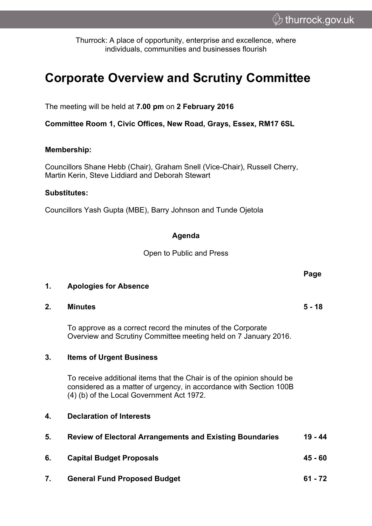**Page**

Thurrock: A place of opportunity, enterprise and excellence, where individuals, communities and businesses flourish

# **Corporate Overview and Scrutiny Committee**

The meeting will be held at **7.00 pm** on **2 February 2016**

**Committee Room 1, Civic Offices, New Road, Grays, Essex, RM17 6SL**

### **Membership:**

Councillors Shane Hebb (Chair), Graham Snell (Vice-Chair), Russell Cherry, Martin Kerin, Steve Liddiard and Deborah Stewart

#### **Substitutes:**

Councillors Yash Gupta (MBE), Barry Johnson and Tunde Ojetola

## **Agenda**

Open to Public and Press

| <b>Apologies for Absence</b> |  |  | 1. |
|------------------------------|--|--|----|
|------------------------------|--|--|----|

**2. Minutes 5 - 18**

To approve as a correct record the minutes of the Corporate Overview and Scrutiny Committee meeting held on 7 January 2016.

#### **3. Items of Urgent Business**

To receive additional items that the Chair is of the opinion should be considered as a matter of urgency, in accordance with Section 100B (4) (b) of the Local Government Act 1972.

| <b>Declaration of Interests</b><br>4. |  |
|---------------------------------------|--|
|---------------------------------------|--|

| 5. | <b>Review of Electoral Arrangements and Existing Boundaries</b> | $19 - 44$ |
|----|-----------------------------------------------------------------|-----------|
| 6. | <b>Capital Budget Proposals</b>                                 | 45 - 60   |
| 7. | <b>General Fund Proposed Budget</b>                             | $61 - 72$ |